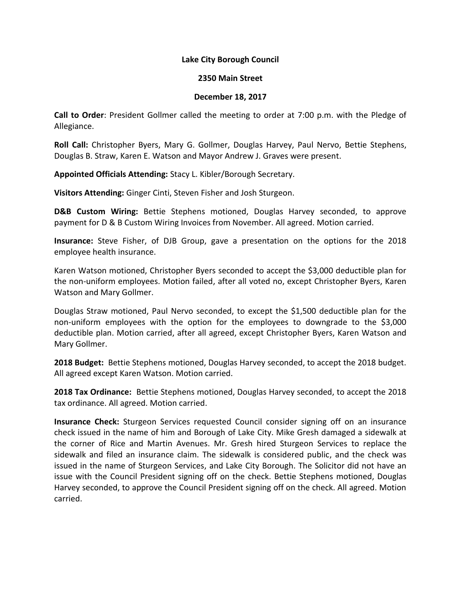## **Lake City Borough Council**

## **2350 Main Street**

## **December 18, 2017**

**Call to Order**: President Gollmer called the meeting to order at 7:00 p.m. with the Pledge of Allegiance.

**Roll Call:** Christopher Byers, Mary G. Gollmer, Douglas Harvey, Paul Nervo, Bettie Stephens, Douglas B. Straw, Karen E. Watson and Mayor Andrew J. Graves were present.

**Appointed Officials Attending:** Stacy L. Kibler/Borough Secretary.

**Visitors Attending:** Ginger Cinti, Steven Fisher and Josh Sturgeon.

**D&B Custom Wiring:** Bettie Stephens motioned, Douglas Harvey seconded, to approve payment for D & B Custom Wiring Invoices from November. All agreed. Motion carried.

**Insurance:** Steve Fisher, of DJB Group, gave a presentation on the options for the 2018 employee health insurance.

Karen Watson motioned, Christopher Byers seconded to accept the \$3,000 deductible plan for the non-uniform employees. Motion failed, after all voted no, except Christopher Byers, Karen Watson and Mary Gollmer.

Douglas Straw motioned, Paul Nervo seconded, to except the \$1,500 deductible plan for the non-uniform employees with the option for the employees to downgrade to the \$3,000 deductible plan. Motion carried, after all agreed, except Christopher Byers, Karen Watson and Mary Gollmer.

**2018 Budget:** Bettie Stephens motioned, Douglas Harvey seconded, to accept the 2018 budget. All agreed except Karen Watson. Motion carried.

**2018 Tax Ordinance:** Bettie Stephens motioned, Douglas Harvey seconded, to accept the 2018 tax ordinance. All agreed. Motion carried.

**Insurance Check:** Sturgeon Services requested Council consider signing off on an insurance check issued in the name of him and Borough of Lake City. Mike Gresh damaged a sidewalk at the corner of Rice and Martin Avenues. Mr. Gresh hired Sturgeon Services to replace the sidewalk and filed an insurance claim. The sidewalk is considered public, and the check was issued in the name of Sturgeon Services, and Lake City Borough. The Solicitor did not have an issue with the Council President signing off on the check. Bettie Stephens motioned, Douglas Harvey seconded, to approve the Council President signing off on the check. All agreed. Motion carried.